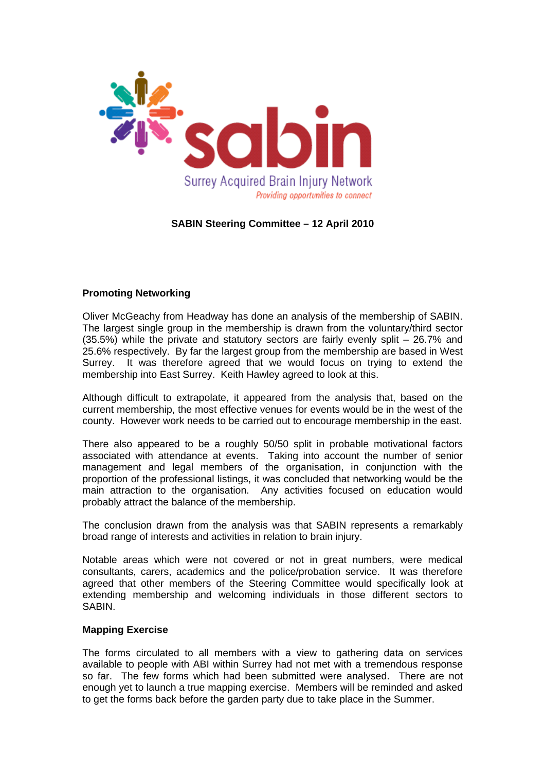

## **SABIN Steering Committee – 12 April 2010**

## **Promoting Networking**

Oliver McGeachy from Headway has done an analysis of the membership of SABIN. The largest single group in the membership is drawn from the voluntary/third sector (35.5%) while the private and statutory sectors are fairly evenly split – 26.7% and 25.6% respectively. By far the largest group from the membership are based in West Surrey. It was therefore agreed that we would focus on trying to extend the membership into East Surrey. Keith Hawley agreed to look at this.

Although difficult to extrapolate, it appeared from the analysis that, based on the current membership, the most effective venues for events would be in the west of the county. However work needs to be carried out to encourage membership in the east.

There also appeared to be a roughly 50/50 split in probable motivational factors associated with attendance at events. Taking into account the number of senior management and legal members of the organisation, in conjunction with the proportion of the professional listings, it was concluded that networking would be the main attraction to the organisation. Any activities focused on education would probably attract the balance of the membership.

The conclusion drawn from the analysis was that SABIN represents a remarkably broad range of interests and activities in relation to brain injury.

Notable areas which were not covered or not in great numbers, were medical consultants, carers, academics and the police/probation service. It was therefore agreed that other members of the Steering Committee would specifically look at extending membership and welcoming individuals in those different sectors to SABIN.

## **Mapping Exercise**

The forms circulated to all members with a view to gathering data on services available to people with ABI within Surrey had not met with a tremendous response so far. The few forms which had been submitted were analysed. There are not enough yet to launch a true mapping exercise. Members will be reminded and asked to get the forms back before the garden party due to take place in the Summer.